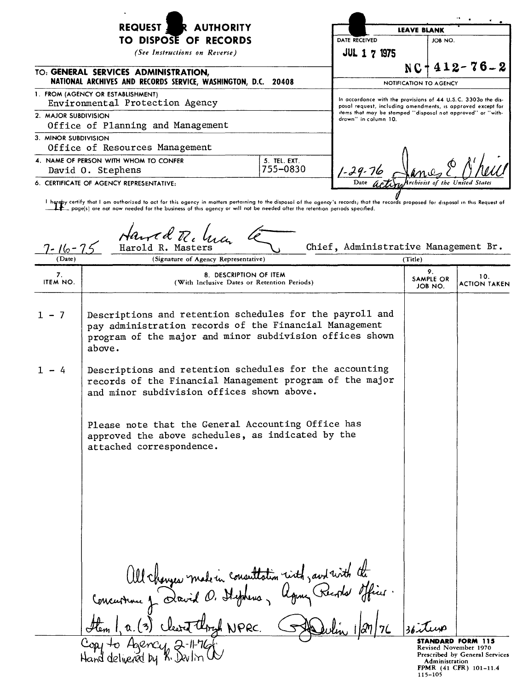|                       | <b>REQUEST</b><br><b>AUTHORITY</b>                                                                                                                                                                                                                                                                                                                           |                          |                                                                                                                              | <b>LEAVE BLANK</b>     |                            |                                                                                          |  |
|-----------------------|--------------------------------------------------------------------------------------------------------------------------------------------------------------------------------------------------------------------------------------------------------------------------------------------------------------------------------------------------------------|--------------------------|------------------------------------------------------------------------------------------------------------------------------|------------------------|----------------------------|------------------------------------------------------------------------------------------|--|
|                       | TO DISPOSE OF RECORDS                                                                                                                                                                                                                                                                                                                                        |                          | DATE RECEIVED                                                                                                                |                        | JOB NO.                    |                                                                                          |  |
|                       | (See Instructions on Reverse)                                                                                                                                                                                                                                                                                                                                |                          | <b>JUL 1 7 1975</b>                                                                                                          |                        |                            |                                                                                          |  |
|                       | TO: GENERAL SERVICES ADMINISTRATION,<br>NATIONAL ARCHIVES AND RECORDS SERVICE, WASHINGTON, D.C.                                                                                                                                                                                                                                                              | 20408                    |                                                                                                                              | NOTIFICATION TO AGENCY |                            | $NC + 412 - 76 - 2$                                                                      |  |
|                       | 1. FROM (AGENCY OR ESTABLISHMENT)<br>Environmental Protection Agency                                                                                                                                                                                                                                                                                         |                          | In accordonce with the provisions of 44 U.S.C. 3303o the dis-<br>posal request, including amendments, is approved except for |                        |                            |                                                                                          |  |
| 2. MAJOR SUBDIVISION  | Office of Planning and Management                                                                                                                                                                                                                                                                                                                            |                          | items that may be stamped "disposal not approved" or "with-<br>drawn" in column 10.                                          |                        |                            |                                                                                          |  |
| 3. MINOR SUBDIVISION  | Office of Resources Management                                                                                                                                                                                                                                                                                                                               |                          |                                                                                                                              |                        |                            |                                                                                          |  |
|                       | 4. NAME OF PERSON WITH WHOM TO CONFER<br>David O. Stephens                                                                                                                                                                                                                                                                                                   | 5. TEL. EXT.<br>755-0830 |                                                                                                                              |                        |                            |                                                                                          |  |
|                       | 6. CERTIFICATE OF AGENCY REPRESENTATIVE:                                                                                                                                                                                                                                                                                                                     |                          |                                                                                                                              |                        |                            |                                                                                          |  |
|                       | I hereby certify that I om outhorized to act for this ogency in motters pertaining to the disposal of the agency's records; that the records proposed for disposal in this Request of<br>$\pm\pm$ page(s) are not now needed for the business of this ogency or will not be needed after the retention periods specified.<br>Hawed R. 4<br>Harold R. Masters |                          | Chief, Administrative Management Br.                                                                                         |                        |                            |                                                                                          |  |
| / Date                | (Signature of Agency Representative)                                                                                                                                                                                                                                                                                                                         |                          |                                                                                                                              | (Title)                |                            |                                                                                          |  |
| 7.<br><b>ITEM NO.</b> | 8. DESCRIPTION OF ITEM<br>(With Inclusive Dates or Retention Periods)                                                                                                                                                                                                                                                                                        |                          |                                                                                                                              |                        | 9.<br>SAMPLE OR<br>JOB NO. | 10.<br>ACTION TAKEN                                                                      |  |
| $1 - 7$               | Descriptions and retention schedules for the payroll and<br>pay administration records of the Financial Management<br>program of the major and minor subdivision offices shown<br>above.                                                                                                                                                                     |                          |                                                                                                                              |                        |                            |                                                                                          |  |
| 1 – 4                 | Descriptions and retention schedules for the accounting<br>records of the Financial Management program of the major<br>and minor subdivision offices shown above.                                                                                                                                                                                            |                          |                                                                                                                              |                        |                            |                                                                                          |  |
|                       | Please note that the General Accounting Office has<br>approved the above schedules, as indicated by the<br>attached correspondence.                                                                                                                                                                                                                          |                          |                                                                                                                              |                        |                            |                                                                                          |  |
|                       | All changes made in consultation rived, and rived the<br>thry NPRC.<br>to Agency, 2                                                                                                                                                                                                                                                                          |                          |                                                                                                                              |                        |                            | STANDARD FORM 115                                                                        |  |
|                       | Hand delivered by K. Devling                                                                                                                                                                                                                                                                                                                                 |                          |                                                                                                                              |                        | <b>Administration</b>      | Revised November 1970<br>Prescribed by General Services<br><b>FPMR (41 CFR) 101-11.4</b> |  |

**FPMR (41 CFR) 101-11.**<br>115**-**105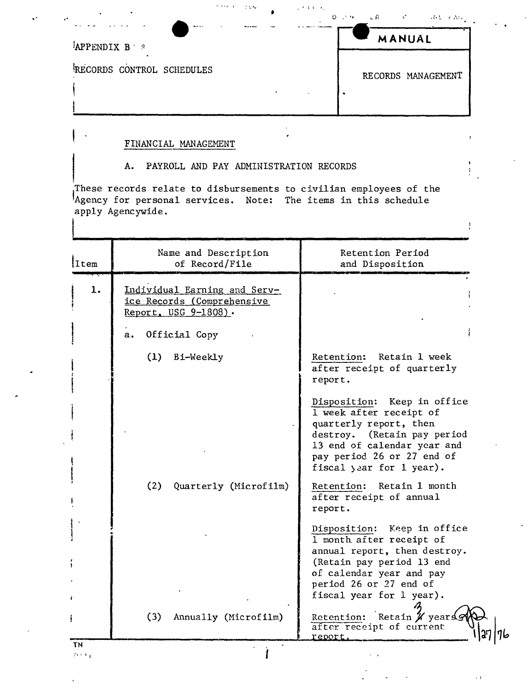| there is a                | $\mathcal{D} = \mathcal{C}^{-1} \mathcal{F} = \mathcal{C} \mathcal{D} = \mathcal{D} = \mathcal{D} \mathcal{D} \mathcal{D} = \mathcal{D} \mathcal{D} \mathcal{D} \mathcal{D}$ |
|---------------------------|------------------------------------------------------------------------------------------------------------------------------------------------------------------------------|
| <b>APPENDIX B</b>         | MANUAL                                                                                                                                                                       |
| RECORDS CONTROL SCHEDULES | RECORDS MANAGEMENT                                                                                                                                                           |

 $\sqrt{2.3\times10^{-2}}$ 

 $\frac{1}{4}$ 

 $\epsilon$  1

## FINANCIAL MANAGEMENT

## PAYROLL AND PAY ADMINISTRATION RECORDS A.

**THAN THAN** 

These records relate to disbursements to civilian employees of the Agency for personal services. Note: The items in this schedule apply Agencywide.

| Item         | Name and Description<br>of Record/File                                                                    | Retention Period<br>and Disposition                                                                                                                                                                      |
|--------------|-----------------------------------------------------------------------------------------------------------|----------------------------------------------------------------------------------------------------------------------------------------------------------------------------------------------------------|
| 1.           | Individual Earning and Serv-<br>ice Records (Comprehensive<br>Report, USG 9-1808).<br>Official Copy<br>а. |                                                                                                                                                                                                          |
|              | (1)<br>Bi-Weekly                                                                                          | Retention: Retain 1 week<br>after receipt of quarterly<br>report.                                                                                                                                        |
|              |                                                                                                           | Disposition: Keep in office<br>1 week after receipt of<br>quarterly report, then<br>destroy. (Retain pay period<br>13 end of calendar year and<br>pay period 26 or 27 end of<br>fiscal year for 1 year). |
|              | (2)<br>Quarterly (Microfilm)                                                                              | Retain 1 month<br>Retention:<br>after receipt of annual<br>report.                                                                                                                                       |
|              |                                                                                                           | Disposition: Keep in office<br>1 month after receipt of<br>annual report, then destroy.<br>(Retain pay period 13 end<br>of calendar year and pay<br>period 26 or 27 end of<br>fiscal year for 1 year).   |
|              | (3)<br>Annually (Microfilm)                                                                               | Retention: Retain X years<br>after receipt of current<br>report                                                                                                                                          |
| ΤN<br>73.3.1 |                                                                                                           |                                                                                                                                                                                                          |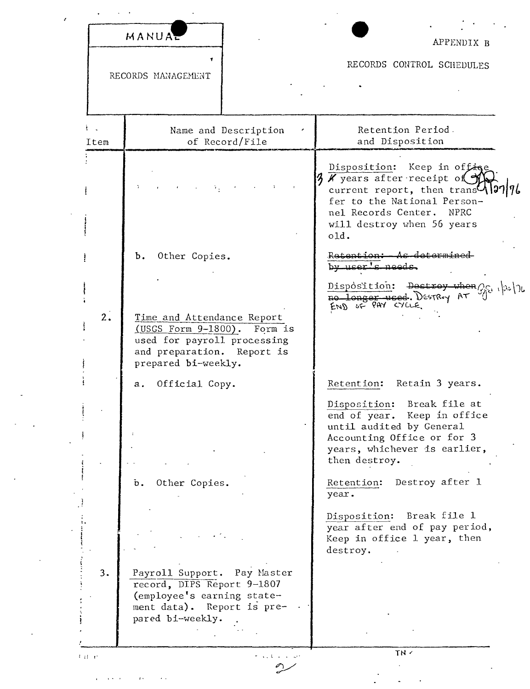|            | MANUAL                                                                                                                                        | APPENDIX B                                                                                                                                                                                             |  |
|------------|-----------------------------------------------------------------------------------------------------------------------------------------------|--------------------------------------------------------------------------------------------------------------------------------------------------------------------------------------------------------|--|
|            | RECORDS MANAGEMENT                                                                                                                            | RECORDS CONTROL SCHEDULES                                                                                                                                                                              |  |
| ł.<br>Item | Name and Description<br>of Record/File                                                                                                        | Retention Period.<br>and Disposition                                                                                                                                                                   |  |
|            |                                                                                                                                               | Disposition: Keep in offige<br>K years after receipt of<br>current report, then trans <sup>1</sup> )?<br>fer to the National Person-<br>nel Records Center. NPRC<br>will destroy when 56 years<br>old. |  |
|            | Other Copies.<br>Ъ.                                                                                                                           | Retention: - As determined<br>by user's needs.                                                                                                                                                         |  |
| 2.         | Time and Attendance Report<br>(USGS Form 9-1800). Form is<br>used for payroll processing<br>and preparation. Report is<br>prepared bi-weekly. | Disposition: Destroy when $Q_{\mathcal{U}}$ $ x_i $<br>no longer used. Destroy AT<br>END OF PAY CYLLE.                                                                                                 |  |
|            | Official Copy.<br>а.                                                                                                                          | Retention:<br>Retain 3 years.                                                                                                                                                                          |  |
|            |                                                                                                                                               | Disposition: Break file at<br>end of year. Keep in office<br>until audited by General<br>Accounting Office or for 3<br>years, whichever is earlier,<br>then destroy.                                   |  |
|            | Other Copies.<br>$\mathbf{b}$ .                                                                                                               | Retention: Destroy after 1<br>year.                                                                                                                                                                    |  |
|            |                                                                                                                                               | Disposition: Break file 1<br>year after end of pay period,<br>Keep in office 1 year, then<br>destroy.                                                                                                  |  |
| 3.         | Payroll Support. Pay Master<br>record, DIPS Report 9-1807<br>(employee's earning state-<br>ment data). Report is pre-<br>pared bi-weekly.     |                                                                                                                                                                                                        |  |
| 中国語        | the contract of the                                                                                                                           | TN -                                                                                                                                                                                                   |  |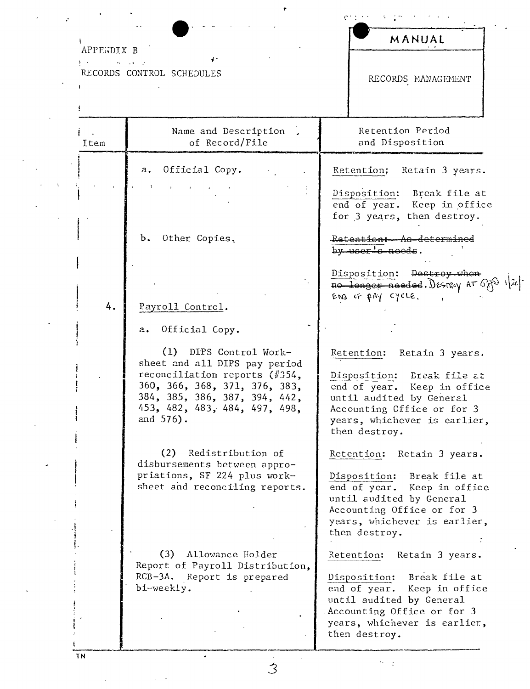| APPENDIX B   |                                                                                                                                                                                                             | MANUAL                                                                                                                                                                                                      |
|--------------|-------------------------------------------------------------------------------------------------------------------------------------------------------------------------------------------------------------|-------------------------------------------------------------------------------------------------------------------------------------------------------------------------------------------------------------|
| $\mathbf{1}$ | ď÷<br>$\sim 100$ m $^{-1}$ , where $\sim 10$<br>RECORDS CONTROL SCHEDULES                                                                                                                                   | RECORDS MANAGEMENT                                                                                                                                                                                          |
| Item         | Name and Description<br>of Record/File                                                                                                                                                                      | Retention Period<br>and Disposition                                                                                                                                                                         |
|              | Official Copy.<br>а.                                                                                                                                                                                        | Retention: Retain 3 years.                                                                                                                                                                                  |
|              |                                                                                                                                                                                                             | Disposition:<br>Break file at<br>end of year.<br>Keep in office<br>for 3 years, then destroy.                                                                                                               |
|              | Other Copies.<br>Ъ.                                                                                                                                                                                         | Retention: As determined<br>by <u>user's</u> needs.                                                                                                                                                         |
| 4.           | Payroll Control.                                                                                                                                                                                            | Disposition: Destroy-when<br>no longer needed. Desiry AT CAS 120-<br>END IF PAY CYCLE.                                                                                                                      |
|              | Official Copy.<br>а.                                                                                                                                                                                        |                                                                                                                                                                                                             |
|              | (1)<br>DIPS Control Work-<br>sheet and all DIPS pay period<br>reconciliation reports (#354,<br>360, 366, 368, 371, 376, 383,<br>384, 385, 386, 387, 394, 442,<br>453, 482, 483, 484, 497, 498,<br>and 576). | Retention: Retain 3 years.<br>Disposition: Break file at<br>end of year. Keep in office<br>until audited by General<br>Accounting Office or for 3<br>years, whichever is earlier,<br>then destroy.          |
|              | (2)<br>Redistribution of<br>disbursements between appro-<br>priations, SF 224 plus work-<br>sheet and reconciling reports.                                                                                  | Retention:<br>Retain 3 years.<br>Disposition:<br>Break file at<br>end of year.<br>Keep in office<br>until audited by General<br>Accounting Office or for 3<br>years, whichever is earlier,<br>then destroy. |
|              | (3)<br>Allowance Holder<br>Report of Payroll Distribution,<br>RCB-3A. Report is prepared<br>bi-weekly.                                                                                                      | Retention:<br>Retain 3 years.<br>Break file at<br>Disposition:<br>end of year.<br>Keep in office<br>until audited by General<br>Accounting Office or for 3<br>years, whichever is earlier,<br>then destroy. |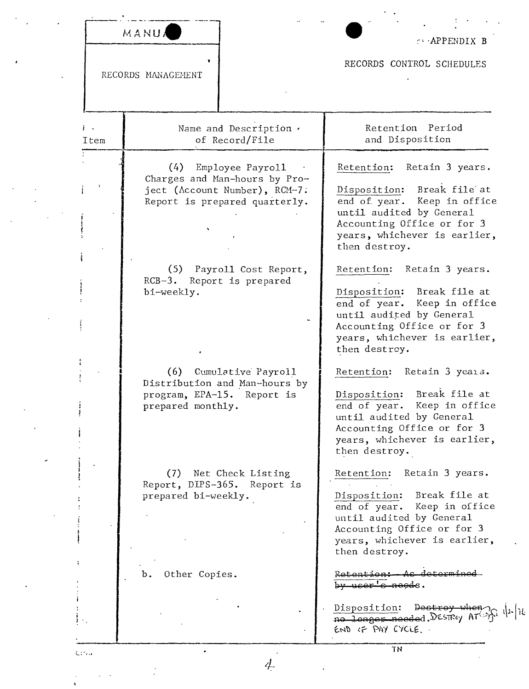| MANUA |  |  |
|-------|--|--|

RECORDS MANAGEMENT

CORPENDIX B

RECORDS CONTROL SCHEDULES

Retention Period  $\mathbf{1}$ Name and Description . of Record/File and Disposition Item (4) Employee Payroll Retention: Retain 3 years. Charges and Man-hours by Project (Account Number), RCM-7. Disposition: Break file at end of year. Keep in office Report is prepared quarterly. until audited by General Accounting Office or for 3 years, whichever is earlier, then destroy. (5) Payroll Cost Report, Retention: Retain 3 years. RCB-3. Report is prepared Disposition: Break file at bi-weekly. end of year. Keep in office until audited by General Accounting Office or for 3 years, whichever is earlier, then destrey. Retention: Retain 3 years. (6) Cumulative Payroll Distribution and Man-hours by Disposition: Break file at program, EPA-15. Report is end of year. Keep in office prepared monthly. until audited by General Accounting Office or for 3 years, whichever is earlier, then destroy. Retention: Retain 3 years. (7) Net Check Listing Report, DIPS-365. Report is Disposition: Break file at prepared bi-weekly. end of year. Keep in office until audited by General Accounting Office or for 3 years, whichever is earlier, then destroy. determined Other Copies. Retention: As  $b$ .  $by user's needs.$ Disposition: Destroy when no longer needed. Desney AT END OF PAY CYCLE. **TN**  $C<sub>1</sub>$ 

4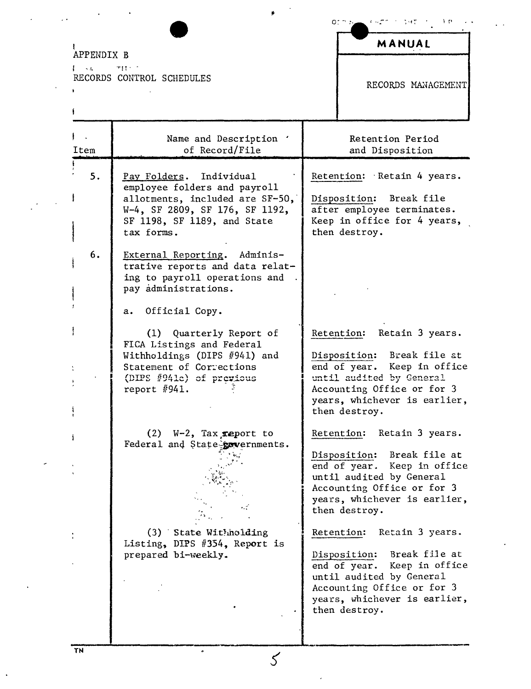APPENDIX B

Item

 $5.$ 

6.

 $I = \sqrt{2}$  $T\left(1+\frac{1}{2}\right)$ RECORDS CONTROL SCHEDULES

a. Official Copy.

pay administrations.

tax forms.

Pay Folders. Individual

employee folders and payroll allotments, included are SF-50,

SF 1198, SF 1189, and State

External Reporting. Administrative reports and data relating to payroll operations and

W-4, SF 2809, SF 176, SF 1192,

(1) Quarterly Report of FICA Listings and Federal Withholdings (DIPS #941) and Statement of Corrections (DIPS #941c) of previous report  $#941.$ 

Name and Description ' of Record/File

 $(2)$  W-2, Tax report to Federal and State governments.

(3) State Withholding Listing, DIPS #354, Report is prepared bi-weekly.

 $\cal S$ 

Retention:

Retain 3 years.

Disposition: Break file at end of year. Keep in office until audited by General Accounting Office or for 3 years, whichever is earlier, then destroy.

Retention: Retain 3 years.

Disposition: Break file at end of year. Keep in office until audited by General Accounting Office or for 3 years, whichever is earlier, then destroy.

Retention: Retain 3 years.

Disposition: Break file at end of year. Keep in office until audited by General Accounting Office or for 3 years, whichever is earlier, then destroy.

į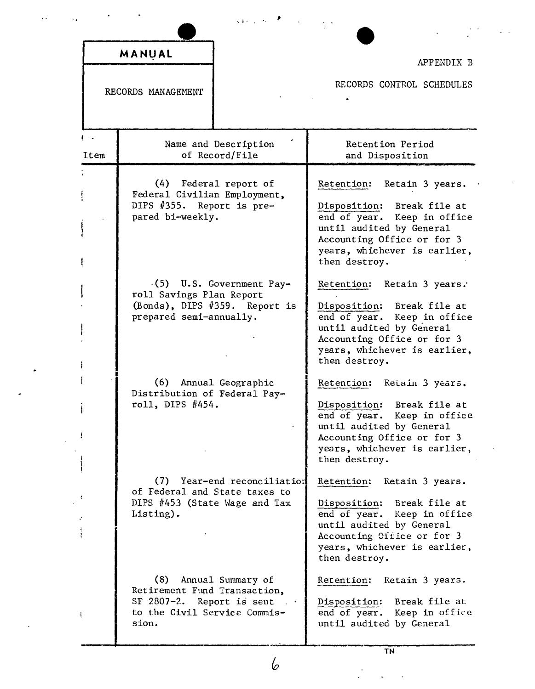|                    | MANUAL                                                                                                    |                                                             | APPENDIX B                                                                                                                                                                                            |
|--------------------|-----------------------------------------------------------------------------------------------------------|-------------------------------------------------------------|-------------------------------------------------------------------------------------------------------------------------------------------------------------------------------------------------------|
| RECORDS MANAGEMENT |                                                                                                           |                                                             | RECORDS CONTROL SCHEDULES                                                                                                                                                                             |
| $1 - 1$<br>Item    |                                                                                                           | Name and Description<br>of Record/File                      | Retention Period<br>and Disposition                                                                                                                                                                   |
|                    | Federal Civilian Employment,<br>DIPS #355. Report is pre-<br>pared bi-weekly.                             | (4) Federal report of                                       | Retention: Retain 3 years.<br>Disposition: Break file at<br>end of year. Keep in office<br>until audited by General<br>Accounting Office or for 3<br>years, whichever is earlier,<br>then destroy.    |
|                    | roll Savings Plan Report<br>prepared semi-annually.                                                       | $(5)$ U.S. Government Pay-<br>(Bonds), DIPS #359. Report is | Retention: Retain 3 years.<br>Disposition: Break file at<br>end of year. Keep in office<br>until audited by General<br>Accounting Office or for 3<br>years, whichever is earlier,<br>then destroy.    |
|                    | (6)<br>Distribution of Federal Pay-<br>roll, DIPS #454.                                                   | Annual Geographic                                           | Retention: Retain 3 years.<br>Disposition: Break file at<br>end of year. Keep in office<br>until audited by General<br>Accounting Office or for 3<br>years, whichever is earlier,<br>then destroy.    |
|                    | (7)<br>of Federal and State taxes to<br>DIPS #453 (State Wage and Tax<br>Listing).                        | Year-end reconciliation                                     | Retention:<br>Retain 3 years.<br>Disposition: Break file at<br>end of year. Keep in office<br>until audited by General<br>Accounting Office or for 3<br>years, whichever is earlier,<br>then destroy. |
|                    | (8)<br>Retirement Fund Transaction,<br>SF 2807-2. Report is sent<br>to the Civil Service Commis-<br>sion. | Annual Summary of                                           | Retention:<br>Retain 3 years.<br>Break file at<br>Disposition:<br>end of year. Keep in office<br>until audited by General                                                                             |

 $\ddot{\phantom{0}}$ 

TN

 $\mathbf{b}$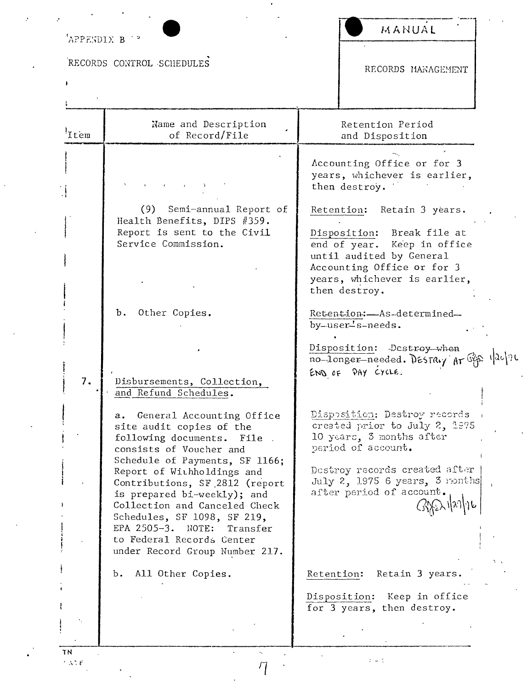| RECORDS CONTROL SCHEDULES<br>RECORDS MANAGEMENT<br>Name and Description<br>Retention Period<br>'Item<br>of Record/File<br>and Disposition<br>Accounting Office or for 3<br>years, whichever is earlier,<br>then destroy.<br>(9) Semi-annual Report of<br>Retention: Retain 3 years.<br>Health Benefits, DIPS #359.<br>Report is sent to the Civil<br>Disposition: Break file at<br>Service Commission.<br>end of year.<br>Keep in office<br>until audited by General<br>Accounting Office or for 3<br>years, whichever is earlier,<br>then destroy.<br>Other Copies.<br>Ъ.<br>Retention: As-determined-<br>by-user-s-needs.<br>Disposition: Destroy when<br>no-longer-needed. DESTRLY AT GER 120126<br>END OF PAY CYCLE.<br>7.<br>Disbursements, Collection,<br>and Refund Schedules.<br>a. General Accounting Office<br>Disposition: Destroy records ()<br>created prior to July 2, 1975<br>site audit copies of the<br>10 years, 3 months after<br>following documents. File .<br>period of account.<br>consists of Voucher and<br>Schedule of Payments, SF 1166;<br>Destroy records created after<br>Report of Withholdings and<br>July 2, 1975 6 years, 3 months<br>Contributions, SF 2812 (report<br>after period of account.<br>is prepared bi-weekly); and<br>Collection and Canceled Check<br>Schedules, SF 1098, SF 219,<br>EPA 2505-3. NOTE:<br>Transfer<br>to Federal Records Center<br>under Record Group Number 217.<br>All Other Copies.<br>Retain 3 years.<br>Ъ.<br>Retention:<br>Disposition: Keep in office<br>for 3 years, then destroy. | APPENDIX B <sup>19</sup> | MANUAL |
|------------------------------------------------------------------------------------------------------------------------------------------------------------------------------------------------------------------------------------------------------------------------------------------------------------------------------------------------------------------------------------------------------------------------------------------------------------------------------------------------------------------------------------------------------------------------------------------------------------------------------------------------------------------------------------------------------------------------------------------------------------------------------------------------------------------------------------------------------------------------------------------------------------------------------------------------------------------------------------------------------------------------------------------------------------------------------------------------------------------------------------------------------------------------------------------------------------------------------------------------------------------------------------------------------------------------------------------------------------------------------------------------------------------------------------------------------------------------------------------------------------------------------------------------------------|--------------------------|--------|
|                                                                                                                                                                                                                                                                                                                                                                                                                                                                                                                                                                                                                                                                                                                                                                                                                                                                                                                                                                                                                                                                                                                                                                                                                                                                                                                                                                                                                                                                                                                                                            |                          |        |
|                                                                                                                                                                                                                                                                                                                                                                                                                                                                                                                                                                                                                                                                                                                                                                                                                                                                                                                                                                                                                                                                                                                                                                                                                                                                                                                                                                                                                                                                                                                                                            |                          |        |
|                                                                                                                                                                                                                                                                                                                                                                                                                                                                                                                                                                                                                                                                                                                                                                                                                                                                                                                                                                                                                                                                                                                                                                                                                                                                                                                                                                                                                                                                                                                                                            |                          |        |
|                                                                                                                                                                                                                                                                                                                                                                                                                                                                                                                                                                                                                                                                                                                                                                                                                                                                                                                                                                                                                                                                                                                                                                                                                                                                                                                                                                                                                                                                                                                                                            |                          |        |
|                                                                                                                                                                                                                                                                                                                                                                                                                                                                                                                                                                                                                                                                                                                                                                                                                                                                                                                                                                                                                                                                                                                                                                                                                                                                                                                                                                                                                                                                                                                                                            |                          |        |
|                                                                                                                                                                                                                                                                                                                                                                                                                                                                                                                                                                                                                                                                                                                                                                                                                                                                                                                                                                                                                                                                                                                                                                                                                                                                                                                                                                                                                                                                                                                                                            |                          |        |
|                                                                                                                                                                                                                                                                                                                                                                                                                                                                                                                                                                                                                                                                                                                                                                                                                                                                                                                                                                                                                                                                                                                                                                                                                                                                                                                                                                                                                                                                                                                                                            |                          |        |
|                                                                                                                                                                                                                                                                                                                                                                                                                                                                                                                                                                                                                                                                                                                                                                                                                                                                                                                                                                                                                                                                                                                                                                                                                                                                                                                                                                                                                                                                                                                                                            |                          |        |
|                                                                                                                                                                                                                                                                                                                                                                                                                                                                                                                                                                                                                                                                                                                                                                                                                                                                                                                                                                                                                                                                                                                                                                                                                                                                                                                                                                                                                                                                                                                                                            |                          |        |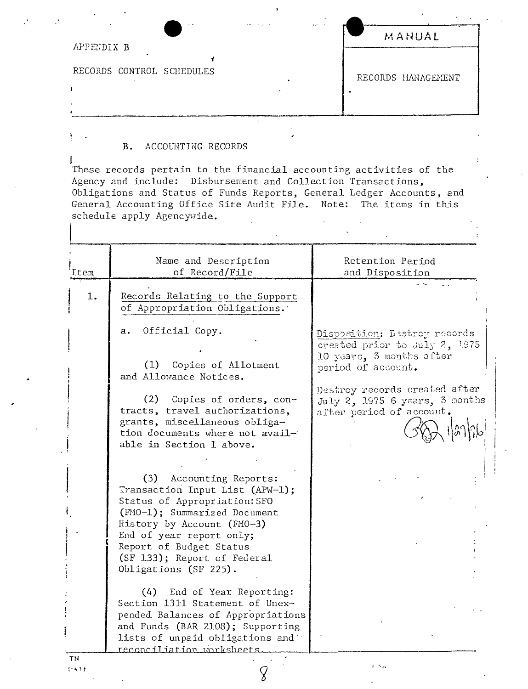|                           | $\cdot$ $\cdot$ | $\ddotsc$ | MANUAL             |
|---------------------------|-----------------|-----------|--------------------|
| APPENDIX B                |                 |           |                    |
| RECORDS CONTROL SCHEDULES |                 |           | RECORDS MANAGEMENT |
|                           |                 |           |                    |
|                           |                 |           |                    |

## ACCOUNTING RECORDS **B.**

These records pertain to the financial accounting activities of the Agency and include: Disbursement and Collection Transactions, Obligations and Status of Funds Reports, General Ledger Accounts, and General Accounting Office Site Audit File. Note: The items in this schedule apply Agencywide.

| Item | Name and Description<br>of Record/File                                                                                                                                    | Retention Period<br>and Disposition                                                                                                                                                                            |
|------|---------------------------------------------------------------------------------------------------------------------------------------------------------------------------|----------------------------------------------------------------------------------------------------------------------------------------------------------------------------------------------------------------|
| 1.   | Records Relating to the Support<br>of Appropriation Obligations.                                                                                                          |                                                                                                                                                                                                                |
|      | Official Copy.<br>а.<br>(1) Copies of Allotment<br>and Allowance Notices.<br>(2) Copies of orders, con-<br>tracts, travel authorizations,                                 | Disposition: Destroy records<br>created prior to July 2, 1975<br>10 years, 3 months after<br>period of account.<br>Destroy records created after<br>July 2, 1975 6 years, 3 months<br>after period of account. |
|      | grants, miscellaneous obliga-<br>tion documents where not avail-<br>able in Section 1 above.                                                                              |                                                                                                                                                                                                                |
|      | (3) Accounting Reports:<br>Transaction Input List (APW-1);<br>Status of Appropriation: SFO<br>(FMO-1); Summarized Document                                                |                                                                                                                                                                                                                |
|      | History by Account (FMO-3)<br>End of year report only;<br>Report of Budget Status<br>(SF 133); Report of Federal<br>Obligations (SF 225).                                 |                                                                                                                                                                                                                |
|      | (4) End of Year Reporting:<br>Section 1311 Statement of Unex-<br>pended Balances of Appropriations<br>and Funds (BAR 2108); Supporting<br>lists of unpaid obligations and |                                                                                                                                                                                                                |
| TΝ   | reconciliation worksheets                                                                                                                                                 |                                                                                                                                                                                                                |

 $1 - 1$ 

Ì

İ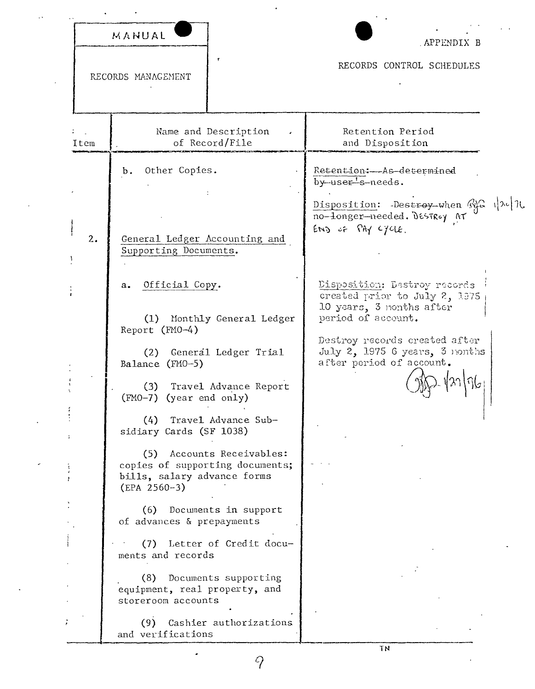|      | MANUAL                                                                                                                | APPENDIX B                                                                                                                                                                                                     |
|------|-----------------------------------------------------------------------------------------------------------------------|----------------------------------------------------------------------------------------------------------------------------------------------------------------------------------------------------------------|
|      | RECORDS MANAGEMENT                                                                                                    | RECORDS CONTROL SCHEDULES                                                                                                                                                                                      |
| Item | Name and Description<br>of Record/File                                                                                | Retention Period<br>and Disposition                                                                                                                                                                            |
|      | Other Copies.<br>b.                                                                                                   | Retention:-As-determined<br>by user's needs.                                                                                                                                                                   |
| 2.   | General Ledger Accounting and<br>Supporting Documents.                                                                | Disposition: Destroy when $\mathbb{Q}_p$ $ \lambda $<br>no-longer-needed. Desiroy AT<br>$env_0$ of $\Omega$ Ay cycle.                                                                                          |
|      | Official Copy.<br>a.<br>(1) Monthly General Ledger<br>Report $(FMO-4)$<br>(2) General Ledger Trial<br>Balance (FMO-5) | Disposition: Destroy records<br>created prior to July 2, 1975<br>10 years, 3 nonths after<br>period of account.<br>Destroy records created after<br>July 2, 1975 6 years, 3 nonths<br>after period of account. |
|      | (3) Travel Advance Report<br>(FMO-7) (year end only)<br>Travel Advance Sub-<br>(4)<br>sidiary Cards (SF 1038)         |                                                                                                                                                                                                                |
|      | Accounts Receivables:<br>(5)<br>copies of supporting documents;<br>bills, salary advance forms<br>$(EPA 2560-3)$      |                                                                                                                                                                                                                |
|      | (6) Documents in support<br>of advances & prepayments<br>(7) Letter of Credit docu-<br>ments and records              |                                                                                                                                                                                                                |
|      | (8) Documents supporting<br>equipment, real property, and<br>storeroom accounts                                       |                                                                                                                                                                                                                |

 $(9)$  Cashier authorizations<br>and verifications

 $\hat{q}$ 

 $\cdot$ 

Ü.

 $\overline{1N}$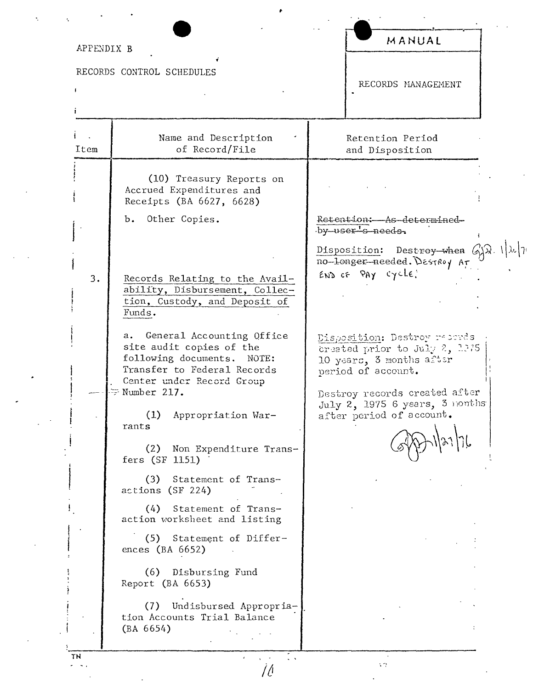| APPENDIX B |                                                                                                                                                                             | MANUAL                                                                                                                                        |  |  |
|------------|-----------------------------------------------------------------------------------------------------------------------------------------------------------------------------|-----------------------------------------------------------------------------------------------------------------------------------------------|--|--|
|            | RECORDS CONTROL SCHEDULES                                                                                                                                                   | RECORDS MANAGEMENT                                                                                                                            |  |  |
| Item       | Name and Description<br>of Record/File                                                                                                                                      | Retention Period<br>and Disposition                                                                                                           |  |  |
|            | (10) Treasury Reports on<br>Accrued Expenditures and<br>Receipts (BA 6627, 6628)                                                                                            |                                                                                                                                               |  |  |
|            | b. Other Copies.                                                                                                                                                            | Retention: As determined<br>by user s needs.<br>Disposition: Destroy-when $G_{\lambda}^{1}(\lambda, \lambda)$<br>no-longer-needed. DesiRoy Ar |  |  |
| 3.         | Records Relating to the Avail-<br>ability, Disbursement, Collec-<br>tion, Custody, and Deposit of<br>Funds.                                                                 | $env$ of $PAY$ cycle.                                                                                                                         |  |  |
|            | General Accounting Office<br>а.<br>site audit copies of the<br>following documents. NOTE:<br>Transfer to Federal Records<br>Center under Record Group<br>$\geq$ Number 217. | Disposition: Destroy records<br>created prior to July 2, 1975<br>10 years, 3 months after<br>period of account.                               |  |  |
|            | (1)<br>Appropriation War-<br>rants                                                                                                                                          | Destroy records created after<br>July 2, 1975 6 years, 3 nonths<br>after period of account.                                                   |  |  |
|            | (2)<br>Non Expenditure Trans-<br>fers (SF 1151)                                                                                                                             |                                                                                                                                               |  |  |
|            | (3)<br>Statement of Trans-<br>actions (SF 224)                                                                                                                              |                                                                                                                                               |  |  |
|            | (4)<br>Statement of Trans-<br>action worksheet and listing                                                                                                                  |                                                                                                                                               |  |  |
|            | (5) Statement of Differ-<br>ences (BA $6652$ )                                                                                                                              |                                                                                                                                               |  |  |
|            | (6) Disbursing Fund<br>Report (BA 6653)                                                                                                                                     |                                                                                                                                               |  |  |
|            | Undisbursed Appropria-<br>(7)<br>tion Accounts Trial Balance<br>(BA 6654)                                                                                                   |                                                                                                                                               |  |  |

 $\hat{\boldsymbol{r}}$ 

 $\frac{1}{2}$ 

 $\cdot$ 

 $\ddot{\phantom{0}}$